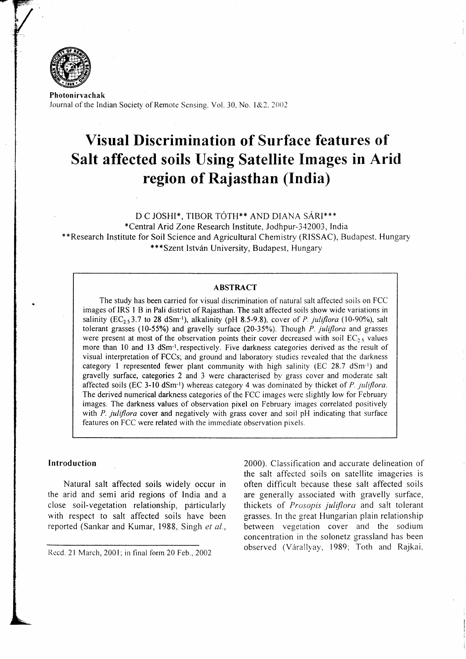

Photonirvachak Journal of the Indian Society of Remote Sensing. Vol. 30, No. 1&2. 2002

# Visual Discrimination of Surface features of Salt affected soils Using Satellite Images in Arid region of Rajasthan (India)

D C JOSHI\*, TIBOR TÓTH\*\* AND DIANA SÁRI\*\*\*

\*Central Arid Zone Research lnstitute, Jodhpur-342003, India \*\*Research Institute for Soil Science and Agricultural Chemistry (RISSAC), Budapest, Hungary {'\*\*Szent Istv6n University, Budapest, Hungary

## ABSTRACT

The study has been carried for visual discrimination of natural salt affected soils on FCC images of IRS I B in Pali district of Rajasthan. The salt affected soils show wide variations in salinity ( $EC_{2,5}$ 3.7 to 28 dSm<sup>-1</sup>), alkalinity (pH 8.5-9.8), cover of P. juliflora (10-90%), salt tolerant grasses (10-55%) and gravelly surface (20-35%). Though  $P$ . juliflora and grasses were present at most of the observation points their cover decreased with soil  $EC_{2.5}$  values more than 10 and 13 dSm<sup>-1</sup>, respectively. Five darkness categories derived as the result of visual interpretation of FCCs; and ground and laboratory studies revealed that the darkness category 1 represented fewer plant community with high salinity (EC  $28.7 \text{ dSm-l}$ ) and gravelly surface, categories 2 and 3 were characterised by grass cover and moderate salt affected soils (EC 3-10 dSm<sup>-1</sup>) whereas category 4 was dominated by thicket of P. juliflora. The derived numerical darkness categories of the FCC images were slightly low for February images. The darkness values of observation pixel on February images correlated positively with P. juliflora cover and negatively with grass cover and soil pH indicating that surface features on FCC were related with the immediate observation pixels.

#### Introduction

Natural salt affected soils widely occur in the arid and semi arid regions of India and a close soil-vegetation relationship, pdrticularly with respect to salt affected soils have been reported (Sankar and Kumar, 1988, Singh et al.,

Recd. 21 March, 2001; in final form 20 Feb., 2002

2000). Classification and accurate delineation of the salt affected soils on satellite imageries is often difficult because these salt affected soils are generally associated with gravelly surface, thickets of Prosopis juliflora and salt tolerant grasses. In the great Hungarian plain relationship between vegetation cover and the sodium concentration in the solonetz grassland has been observed (Várallyay, 1989; Toth and Rajkai,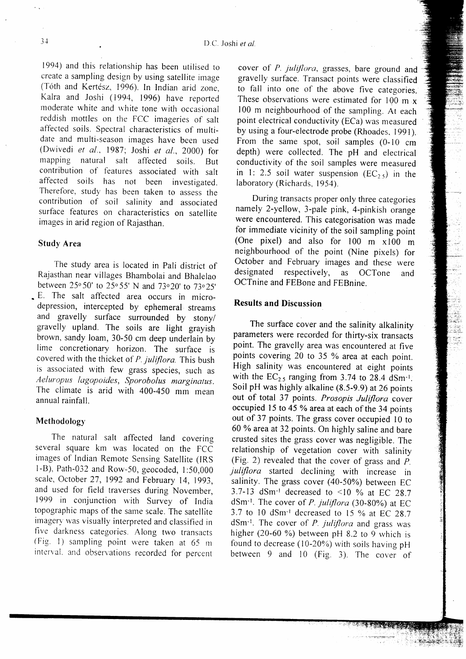l9g4) and this relationship has been utilised to create a sampling design by using satellite image (Tóth and Kertész, 1996). In Indian arid zone, Kalra and Joshi (1994, 1996) have reporred moderate white and white tone with occasional reddish mottles on the FCC imageries of salt affected soils. Spectral characteristics of multidate and multi-season images have been used (Dwivedi et al., 1987; Joshi et al., 2000) for mapping natural salt affected soils. But contribution of features associated with salt affected soils has not been investigated. Therefore, study has been taken to assess the contribution of soil salinity and associated surface features on characteristics on satellite images in arid region of Rajasthan.

## Study Area

The study area is located in pali district of Rajasthan near villages Bhambolai and Bhalelao between 25° 50' to 25° 55' N and 73° 20' to 73° 25' . E. The salt affected area occurs in microdepression, intercepted by ephemeral streams and gravelly surface surrounded by stony/ gravelly upland. The soils are light grayish brown, sandy loam, 30-50 cm deep underlain by Iime concretionary horizon. The surface is covered with the thicket of  $P$ . juliflora. This bush is associated with few grass species, such as Aeluropus lagopoides, Sporobolus marginatus. The climate is arid with 400-450 mm mean annual rainfall.

#### Methodology

The natural salt affected land covering several square km was located on the FCC images of Indian Remote Sensing Satellite (lRS l-B), Path-032 and Row-50, geocoded, l:50,000 scale, October 27, 1992 and February 14, 1993, and used for field traverses during November, 1999 in conjunction with Survey of India topographic maps of the same scale. The satellite imagery was visually interpreted and classified in five darkness categories. Along two transacts (Fig. 1) sampling point were taken at  $65$  m interval. and observations recorded for percent

cover of P. juliflora, grasses, bare ground and gravelly surface. Transact points were classified to fall into one of the above five categories. These observations were estimated for 100 m  $x$ 100 m neighbourhood of the sampling. Ar each point electrical conductivity (ECa) was measured by using a four-electrode probe (Rhoades, 1991). From the same spot, soil samples  $(0-10$  cm depth) were collected. The pH and electrical conductivity of the soil samples were measured in 1: 2.5 soil water suspension  $(EC_{2.5})$  in the laboratory (Richards, 1954).

During transacts proper only three categories namely 2-yellow, 3-pale pink, 4-pinkish orange were encountered. This categorisation was made for immediate vicinity of the soil sampling point (One pixel) and also for 100 m x 100 m neighbourhood of the poinr (Nine pixels) for October and February images and these were designated respectively, as OCTone and OCTnine and FEBone and FEBnine.

Té<br>Li

#### Results and Discussion

The surface cover and the salinity alkalinity parameters were recorded for thirty-six transacts point. The gravelly area was encountered at five points covering 20 to 35 % area at each point. High salinity was encountered at eight points with the  $EC_{2.5}$  ranging from 3.74 to 28.4 dSm<sup>-1</sup>. Soil pH was highly alkaline (8.5-9.9) at 26 points out of total 37 points. Prosopis Juliflora cover occupied l5 to 45 % area at each of the 34 points out of 37 points. The grass cover occupied l0 to 60 % area at 32 points. On highly saline and bare crusted sites the grass cover was negligible, The relationship of vegetation cover with salinity (Fig. 2) revealed that the cover of grass and  $P$ . juliflora started declining with increase in salinity. The grass cover  $(40-50%)$  between EC 3.7-13 dSm<sup>-1</sup> decreased to <10 % at EC 28.7 dSm<sup>-1</sup>. The cover of *P. juliflora* (30-80%) at EC 3.7 to 10 dSm<sup>-1</sup> decreased to 15 % at EC 28.7  $dSm^{-1}$ . The cover of *P. juliflora* and grass was higher (20-60 %) between pH 8.2 to 9 which is found to decrease (10-20%) with soils having pH between  $9$  and  $10$  (Fig. 3). The cover of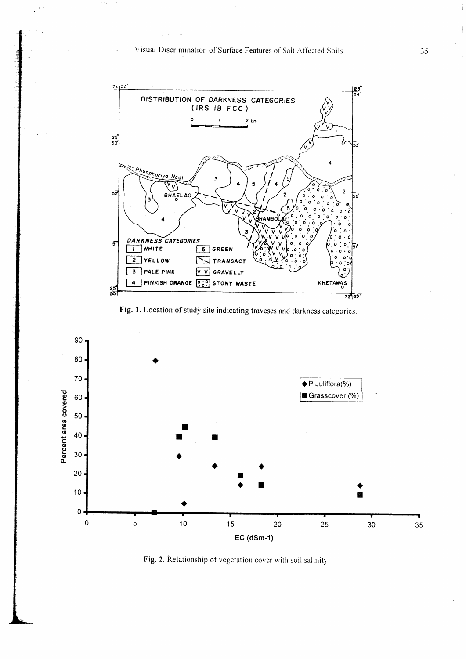Visual Discrimination of Surface Features of Salt Affected Soils...



Fig. 1. Location of study site indicating traveses and darkness categories.



Fig. 2. Relationship of vegetation cover with soil salinity.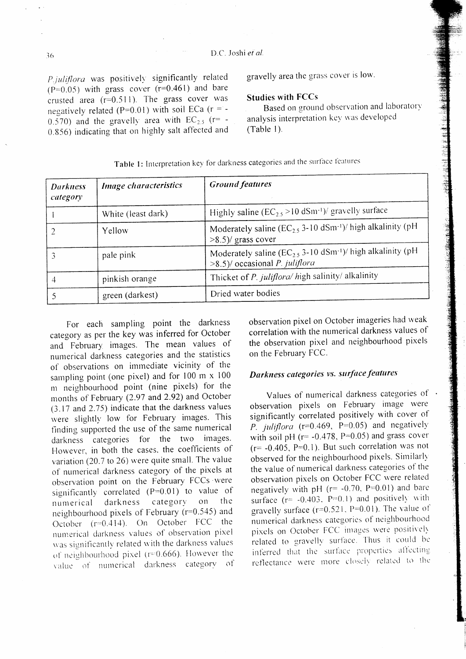*P.iuliflora* was positively significantly related  $(P=0.05)$  with grass cover  $(r=0.461)$  and bare crusted area  $(r=0.511)$ . The grass cover was negatively related (P=0.01) with soil ECa ( $r = -$ 0.570) and the gravelly area with  $EC_{2.5}$  (r= -0.856) indicating that on highly salt affected and gravelly area the grass cover is low.

#### **Studies with FCCs**

Based on ground observation and laboratory analysis interpretation key was developed  $(Table 1)$ .

| <b>Darkness</b><br>category | <b>Image characteristics</b> | <b>Ground features</b>                                                                                                   |
|-----------------------------|------------------------------|--------------------------------------------------------------------------------------------------------------------------|
|                             | White (least dark)           | Highly saline $(EC_2, >10 \text{ dSm-1})$ / gravelly surface                                                             |
|                             | Yellow                       | Moderately saline ( $EC_{2.5}$ 3-10 dSm <sup>-1</sup> )/ high alkalinity (pH<br>$>8.5$ )/ grass cover                    |
|                             | pale pink                    | Moderately saline ( $EC_{2.5}$ 3-10 dSm <sup>-1</sup> )/ high alkalinity (pH<br>$>8.5$ )/ occasional <i>P. juliflora</i> |
| 4                           | pinkish orange               | Thicket of P. juliflora/ high salinity/ alkalinity                                                                       |
|                             | green (darkest)              | Dried water bodies                                                                                                       |

Table 1: Interpretation key for darkness categories and the surface features

For each sampling point the darkness category as per the key was inferred for October and February images. The mean values of numerical darkness categories and the statistics of observations on immediate vicinity of the sampling point (one pixel) and for 100 m x 100 m neighbourhood point (nine pixels) for the months of February (2.97 and 2.92) and October (3.17 and 2.75) indicate that the darkness values were slightly low for February images. This finding supported the use of the same numerical darkness categories for the two images. However, in both the cases, the coefficients of variation (20.7 to 26) were quite small. The value of numerical darkness category of the pixels at observation point on the February FCCs were significantly correlated ( $P=0.01$ ) to value of category on th e numerical darkness neighbourhood pixels of February (r=0.545) and October (r=0.414). On October FCC the numerical darkness values of observation pixel was significantly related with the darkness values of neighbourhood pixel ( $r=0.666$ ). However the value of numerical darkness category of observation pixel on October imageries had weak correlation with the numerical darkness values of the observation pixel and neighbourhood pixels on the February FCC.

# Darkness categories vs. surface features

Values of numerical darkness categories of observation pixels on February image were significantly correlated positively with cover of P. juliflora (r=0.469, P=0.05) and negatively with soil pH ( $r = -0.478$ ,  $P = 0.05$ ) and grass cover  $(r = -0.405, P=0.1)$ . But such correlation was not observed for the neighbourhood pixels. Similarly the value of numerical darkness categories of the observation pixels on October FCC were related negatively with pH  $(r= -0.70, P=0.01)$  and bare surface  $(r = -0.403, P=0.1)$  and positively with gravelly surface ( $r=0.521$ ,  $P=0.01$ ). The value of numerical darkness categories of neighbourhood pixels on October FCC images were positively related to gravelly surface. Thus it could be inferred that the surface properties affecting reflectance were more closely related to the

36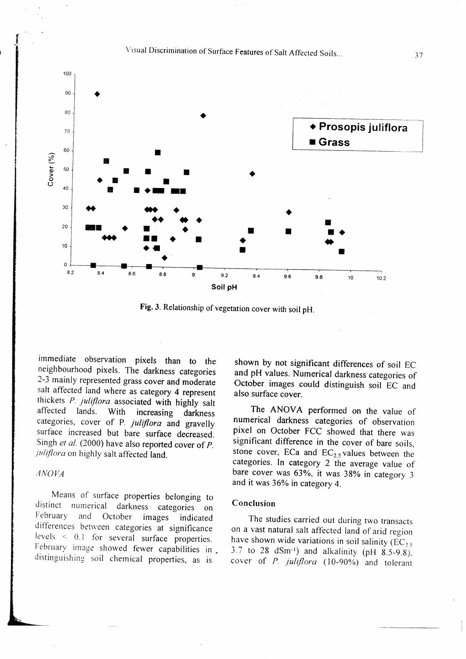



Fig.3. Relationship of vegetation cover with soil pH.

immediate observation pixels than to the neighbourhood pixels. The darkness categories 2-3 mainly represented grass cover and moderate salt affected land where as category 4 represent thickets P. juliflora associated with highly salt affected lands. With increasing darkness categories, cover of P. juliflora and gravelly surface increased but bare surface decreased. Singh et al. (2000) have also reported cover of P. juliflora on highly salt affected land.

#### ,4 NOI,'A

Means of surface properties belonging to distinct numerical darkness categories on<br>February and October images indicated October images indicated differences between categories at significance levels  $\leq$  0.1 for several surface properties. February image showed fewer capabilities in. distinguishing soil chemical properties, as is

shown by not significant differences of soil EC and pH values. Numerical darkness categories of October images could distinguish soil EC and also surface cover.

The ANOVA performed on the value of numerical darkness categories of observation pixel on October FCC showed that there was significant difference in the cover of bare soils, stone cover, ECa and  $EC_{2.5}$  values between the categories. In category 2 the average value of bare cover was 63%, it was 38% in category 3 and it was 36% in category 4.

#### Conclusion

The studies carried out during two transacts on a vast natural salt affected land of arid region have shown wide variations in soil salinity  $(EC_{2.5})$ 3.7 to 28 dSm<sup>-1</sup>) and alkalinity (pH  $8.5-9.8$ ). cover of P. juliflora (10-90%) and tolerant